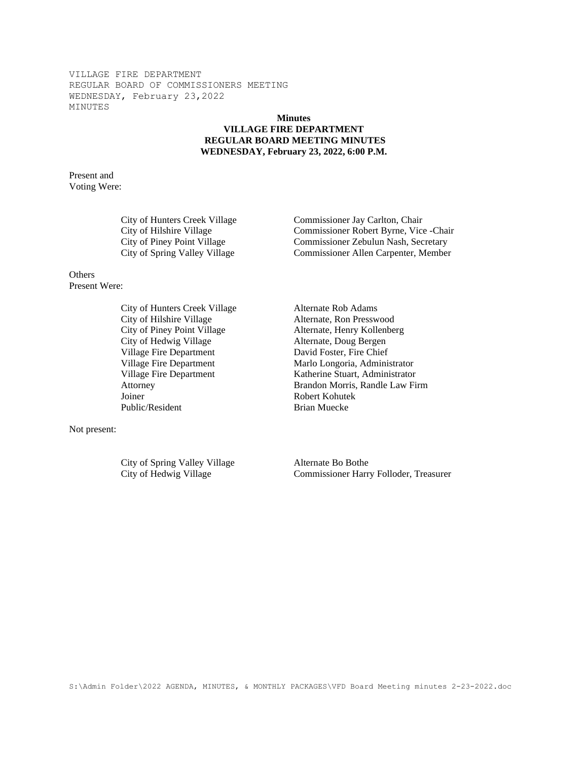## **Minutes VILLAGE FIRE DEPARTMENT REGULAR BOARD MEETING MINUTES WEDNESDAY, February 23, 2022, 6:00 P.M.**

Present and Voting Were:

City of Hunters Creek Village Commissioner Jay Carlton, Chair

# **Others**

Present Were:

City of Hunters Creek Village Alternate Rob Adams City of Hilshire Village Alternate, Ron Presswood City of Piney Point Village Alternate, Henry Kollenberg City of Hedwig Village Alternate, Doug Bergen Village Fire Department David Foster, Fire Chief Joiner Robert Kohutek Public/Resident Brian Muecke

Not present:

City of Spring Valley Village Alternate Bo Bothe

City of Hilshire Village Commissioner Robert Byrne, Vice -Chair City of Piney Point Village Commissioner Zebulun Nash, Secretary City of Spring Valley Village Commissioner Allen Carpenter, Member

Village Fire Department Marlo Longoria, Administrator Village Fire Department Katherine Stuart, Administrator Attorney Brandon Morris, Randle Law Firm

City of Hedwig Village Commissioner Harry Folloder, Treasurer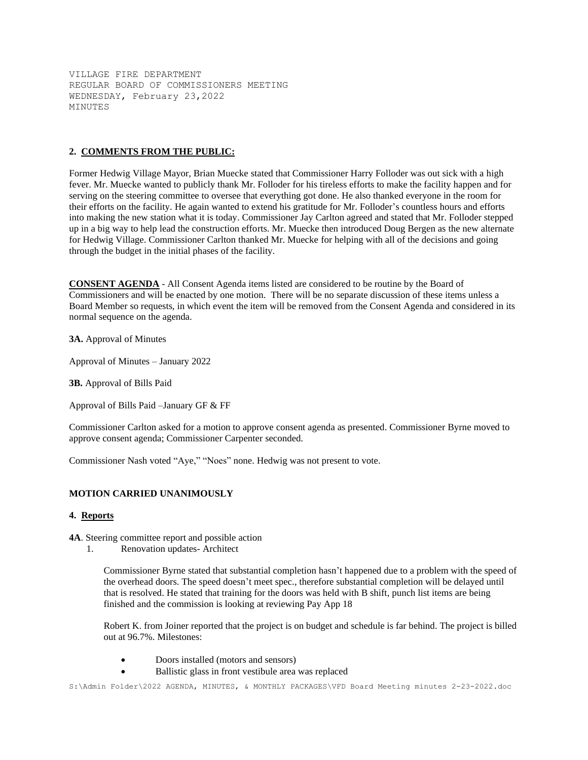## **2. COMMENTS FROM THE PUBLIC:**

Former Hedwig Village Mayor, Brian Muecke stated that Commissioner Harry Folloder was out sick with a high fever. Mr. Muecke wanted to publicly thank Mr. Folloder for his tireless efforts to make the facility happen and for serving on the steering committee to oversee that everything got done. He also thanked everyone in the room for their efforts on the facility. He again wanted to extend his gratitude for Mr. Folloder's countless hours and efforts into making the new station what it is today. Commissioner Jay Carlton agreed and stated that Mr. Folloder stepped up in a big way to help lead the construction efforts. Mr. Muecke then introduced Doug Bergen as the new alternate for Hedwig Village. Commissioner Carlton thanked Mr. Muecke for helping with all of the decisions and going through the budget in the initial phases of the facility.

**CONSENT AGENDA** - All Consent Agenda items listed are considered to be routine by the Board of Commissioners and will be enacted by one motion. There will be no separate discussion of these items unless a Board Member so requests, in which event the item will be removed from the Consent Agenda and considered in its normal sequence on the agenda.

**3A.** Approval of Minutes

Approval of Minutes – January 2022

**3B.** Approval of Bills Paid

Approval of Bills Paid –January GF & FF

Commissioner Carlton asked for a motion to approve consent agenda as presented. Commissioner Byrne moved to approve consent agenda; Commissioner Carpenter seconded.

Commissioner Nash voted "Aye," "Noes" none. Hedwig was not present to vote.

## **MOTION CARRIED UNANIMOUSLY**

#### **4. Reports**

**4A**. Steering committee report and possible action

1. Renovation updates- Architect

Commissioner Byrne stated that substantial completion hasn't happened due to a problem with the speed of the overhead doors. The speed doesn't meet spec., therefore substantial completion will be delayed until that is resolved. He stated that training for the doors was held with B shift, punch list items are being finished and the commission is looking at reviewing Pay App 18

Robert K. from Joiner reported that the project is on budget and schedule is far behind. The project is billed out at 96.7%. Milestones:

- Doors installed (motors and sensors)
- Ballistic glass in front vestibule area was replaced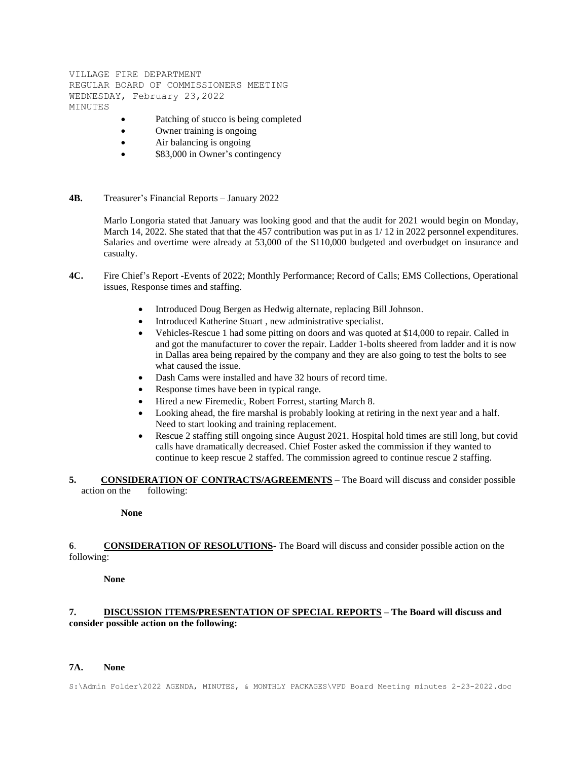- Patching of stucco is being completed
- Owner training is ongoing
- Air balancing is ongoing
- \$83,000 in Owner's contingency
- **4B.** Treasurer's Financial Reports January 2022

Marlo Longoria stated that January was looking good and that the audit for 2021 would begin on Monday, March 14, 2022. She stated that that the 457 contribution was put in as  $1/12$  in 2022 personnel expenditures. Salaries and overtime were already at 53,000 of the \$110,000 budgeted and overbudget on insurance and casualty.

- **4C.** Fire Chief's Report -Events of 2022; Monthly Performance; Record of Calls; EMS Collections, Operational issues, Response times and staffing.
	- Introduced Doug Bergen as Hedwig alternate, replacing Bill Johnson.
	- Introduced Katherine Stuart , new administrative specialist.
	- Vehicles-Rescue 1 had some pitting on doors and was quoted at \$14,000 to repair. Called in and got the manufacturer to cover the repair. Ladder 1-bolts sheered from ladder and it is now in Dallas area being repaired by the company and they are also going to test the bolts to see what caused the issue.
	- Dash Cams were installed and have 32 hours of record time.
	- Response times have been in typical range.
	- Hired a new Firemedic, Robert Forrest, starting March 8.
	- Looking ahead, the fire marshal is probably looking at retiring in the next year and a half. Need to start looking and training replacement.
	- Rescue 2 staffing still ongoing since August 2021. Hospital hold times are still long, but covid calls have dramatically decreased. Chief Foster asked the commission if they wanted to continue to keep rescue 2 staffed. The commission agreed to continue rescue 2 staffing.

**5. CONSIDERATION OF CONTRACTS/AGREEMENTS** – The Board will discuss and consider possible action on the following:

#### **None**

**6**. **CONSIDERATION OF RESOLUTIONS**- The Board will discuss and consider possible action on the following:

**None**

# **7. DISCUSSION ITEMS/PRESENTATION OF SPECIAL REPORTS – The Board will discuss and consider possible action on the following:**

### **7A. None**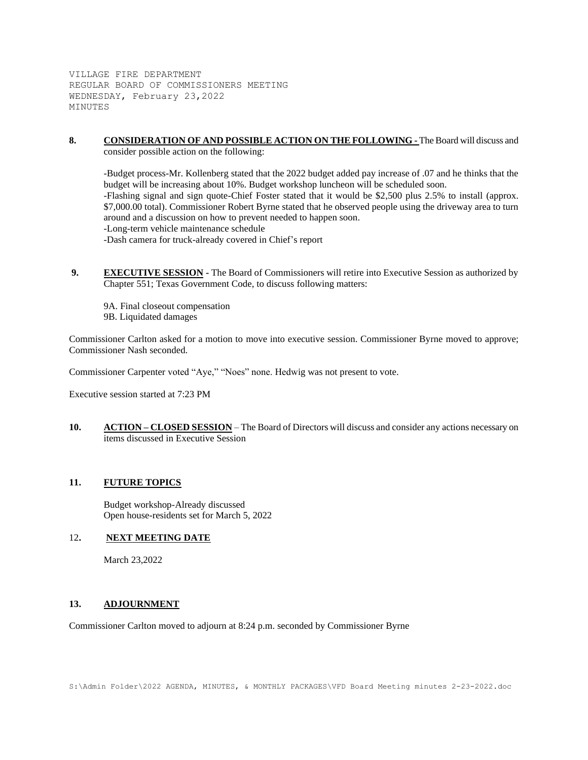**8. CONSIDERATION OF AND POSSIBLE ACTION ON THE FOLLOWING -** The Board will discuss and consider possible action on the following:

-Budget process-Mr. Kollenberg stated that the 2022 budget added pay increase of .07 and he thinks that the budget will be increasing about 10%. Budget workshop luncheon will be scheduled soon. -Flashing signal and sign quote-Chief Foster stated that it would be \$2,500 plus 2.5% to install (approx. \$7,000.00 total). Commissioner Robert Byrne stated that he observed people using the driveway area to turn around and a discussion on how to prevent needed to happen soon. -Long-term vehicle maintenance schedule -Dash camera for truck-already covered in Chief's report

- **9. EXECUTIVE SESSION -** The Board of Commissioners will retire into Executive Session as authorized by Chapter 551; Texas Government Code, to discuss following matters:
	- 9A. Final closeout compensation 9B. Liquidated damages

Commissioner Carlton asked for a motion to move into executive session. Commissioner Byrne moved to approve; Commissioner Nash seconded.

Commissioner Carpenter voted "Aye," "Noes" none. Hedwig was not present to vote.

Executive session started at 7:23 PM

**10. ACTION – CLOSED SESSION** – The Board of Directors will discuss and consider any actions necessary on items discussed in Executive Session

## **11. FUTURE TOPICS**

Budget workshop-Already discussed Open house-residents set for March 5, 2022

## 12**. NEXT MEETING DATE**

March 23,2022

## **13. ADJOURNMENT**

Commissioner Carlton moved to adjourn at 8:24 p.m. seconded by Commissioner Byrne